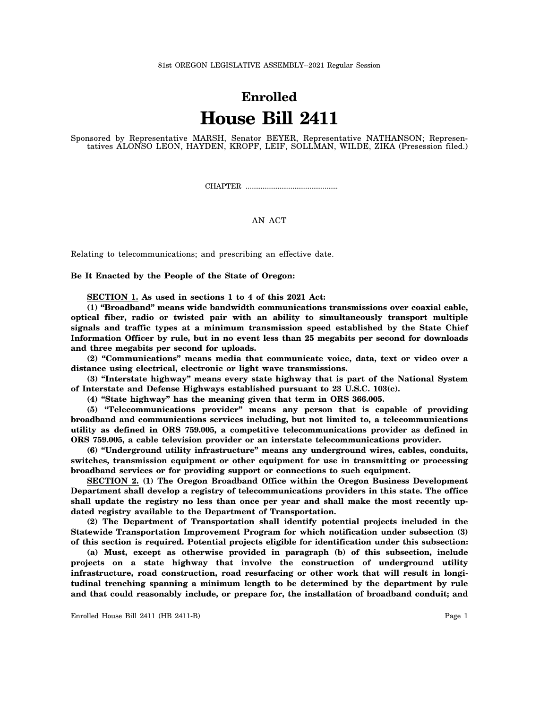## **Enrolled House Bill 2411**

Sponsored by Representative MARSH, Senator BEYER, Representative NATHANSON; Representatives ALONSO LEON, HAYDEN, KROPF, LEIF, SOLLMAN, WILDE, ZIKA (Presession filed.)

CHAPTER .................................................

## AN ACT

Relating to telecommunications; and prescribing an effective date.

**Be It Enacted by the People of the State of Oregon:**

**SECTION 1. As used in sections 1 to 4 of this 2021 Act:**

**(1) "Broadband" means wide bandwidth communications transmissions over coaxial cable, optical fiber, radio or twisted pair with an ability to simultaneously transport multiple signals and traffic types at a minimum transmission speed established by the State Chief Information Officer by rule, but in no event less than 25 megabits per second for downloads and three megabits per second for uploads.**

**(2) "Communications" means media that communicate voice, data, text or video over a distance using electrical, electronic or light wave transmissions.**

**(3) "Interstate highway" means every state highway that is part of the National System of Interstate and Defense Highways established pursuant to 23 U.S.C. 103(c).**

**(4) "State highway" has the meaning given that term in ORS 366.005.**

**(5) "Telecommunications provider" means any person that is capable of providing broadband and communications services including, but not limited to, a telecommunications utility as defined in ORS 759.005, a competitive telecommunications provider as defined in ORS 759.005, a cable television provider or an interstate telecommunications provider.**

**(6) "Underground utility infrastructure" means any underground wires, cables, conduits, switches, transmission equipment or other equipment for use in transmitting or processing broadband services or for providing support or connections to such equipment.**

**SECTION 2. (1) The Oregon Broadband Office within the Oregon Business Development Department shall develop a registry of telecommunications providers in this state. The office shall update the registry no less than once per year and shall make the most recently updated registry available to the Department of Transportation.**

**(2) The Department of Transportation shall identify potential projects included in the Statewide Transportation Improvement Program for which notification under subsection (3) of this section is required. Potential projects eligible for identification under this subsection:**

**(a) Must, except as otherwise provided in paragraph (b) of this subsection, include projects on a state highway that involve the construction of underground utility infrastructure, road construction, road resurfacing or other work that will result in longitudinal trenching spanning a minimum length to be determined by the department by rule and that could reasonably include, or prepare for, the installation of broadband conduit; and**

Enrolled House Bill 2411 (HB 2411-B) Page 1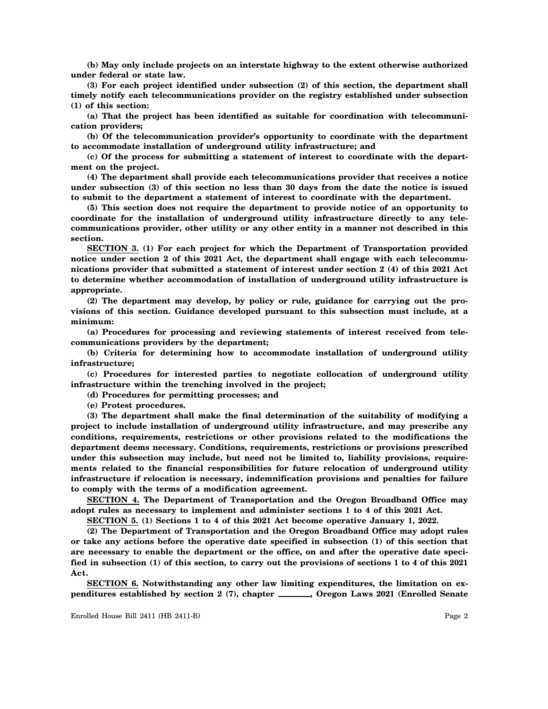**(b) May only include projects on an interstate highway to the extent otherwise authorized under federal or state law.**

**(3) For each project identified under subsection (2) of this section, the department shall timely notify each telecommunications provider on the registry established under subsection (1) of this section:**

**(a) That the project has been identified as suitable for coordination with telecommunication providers;**

**(b) Of the telecommunication provider's opportunity to coordinate with the department to accommodate installation of underground utility infrastructure; and**

**(c) Of the process for submitting a statement of interest to coordinate with the department on the project.**

**(4) The department shall provide each telecommunications provider that receives a notice under subsection (3) of this section no less than 30 days from the date the notice is issued to submit to the department a statement of interest to coordinate with the department.**

**(5) This section does not require the department to provide notice of an opportunity to coordinate for the installation of underground utility infrastructure directly to any telecommunications provider, other utility or any other entity in a manner not described in this section.**

**SECTION 3. (1) For each project for which the Department of Transportation provided notice under section 2 of this 2021 Act, the department shall engage with each telecommunications provider that submitted a statement of interest under section 2 (4) of this 2021 Act to determine whether accommodation of installation of underground utility infrastructure is appropriate.**

**(2) The department may develop, by policy or rule, guidance for carrying out the provisions of this section. Guidance developed pursuant to this subsection must include, at a minimum:**

**(a) Procedures for processing and reviewing statements of interest received from telecommunications providers by the department;**

**(b) Criteria for determining how to accommodate installation of underground utility infrastructure;**

**(c) Procedures for interested parties to negotiate collocation of underground utility infrastructure within the trenching involved in the project;**

**(d) Procedures for permitting processes; and**

**(e) Protest procedures.**

**(3) The department shall make the final determination of the suitability of modifying a project to include installation of underground utility infrastructure, and may prescribe any conditions, requirements, restrictions or other provisions related to the modifications the department deems necessary. Conditions, requirements, restrictions or provisions prescribed under this subsection may include, but need not be limited to, liability provisions, requirements related to the financial responsibilities for future relocation of underground utility infrastructure if relocation is necessary, indemnification provisions and penalties for failure to comply with the terms of a modification agreement.**

**SECTION 4. The Department of Transportation and the Oregon Broadband Office may adopt rules as necessary to implement and administer sections 1 to 4 of this 2021 Act.**

**SECTION 5. (1) Sections 1 to 4 of this 2021 Act become operative January 1, 2022.**

**(2) The Department of Transportation and the Oregon Broadband Office may adopt rules or take any actions before the operative date specified in subsection (1) of this section that are necessary to enable the department or the office, on and after the operative date specified in subsection (1) of this section, to carry out the provisions of sections 1 to 4 of this 2021 Act.**

**SECTION 6. Notwithstanding any other law limiting expenditures, the limitation on expenditures established by section 2 (7), chapter \_\_\_\_\_, Oregon Laws 2021 (Enrolled Senate**